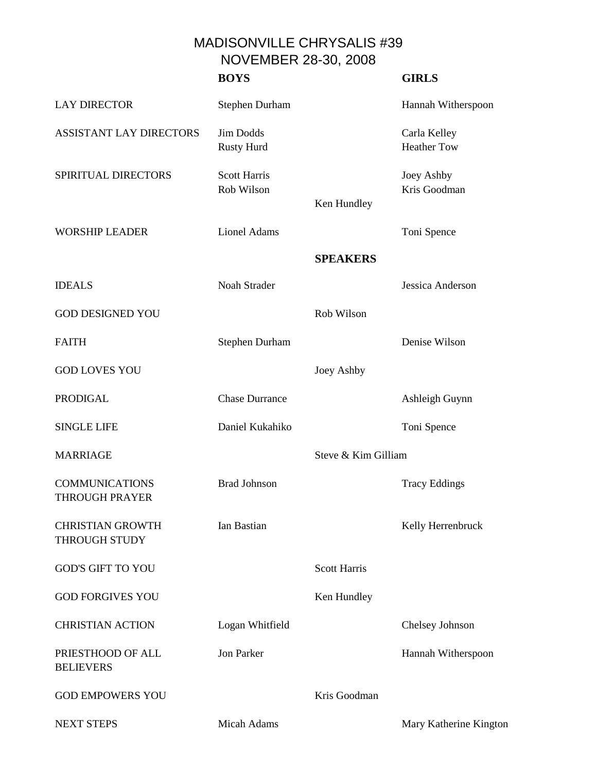MADISONVILLE CHRYSALIS #39 NOVEMBER 28-30, 2008

|                                                 | <b>BOYS</b>                       |                     | <b>GIRLS</b>                       |
|-------------------------------------------------|-----------------------------------|---------------------|------------------------------------|
| <b>LAY DIRECTOR</b>                             | <b>Stephen Durham</b>             |                     | Hannah Witherspoon                 |
| <b>ASSISTANT LAY DIRECTORS</b>                  | <b>Jim Dodds</b><br>Rusty Hurd    |                     | Carla Kelley<br><b>Heather Tow</b> |
| SPIRITUAL DIRECTORS                             | <b>Scott Harris</b><br>Rob Wilson | Ken Hundley         | Joey Ashby<br>Kris Goodman         |
| <b>WORSHIP LEADER</b>                           | <b>Lionel Adams</b>               |                     | Toni Spence                        |
|                                                 |                                   | <b>SPEAKERS</b>     |                                    |
| <b>IDEALS</b>                                   | Noah Strader                      |                     | Jessica Anderson                   |
| <b>GOD DESIGNED YOU</b>                         |                                   | Rob Wilson          |                                    |
| <b>FAITH</b>                                    | <b>Stephen Durham</b>             |                     | Denise Wilson                      |
| <b>GOD LOVES YOU</b>                            |                                   | Joey Ashby          |                                    |
| <b>PRODIGAL</b>                                 | <b>Chase Durrance</b>             |                     | Ashleigh Guynn                     |
| <b>SINGLE LIFE</b>                              | Daniel Kukahiko                   |                     | Toni Spence                        |
| <b>MARRIAGE</b>                                 |                                   | Steve & Kim Gilliam |                                    |
| <b>COMMUNICATIONS</b><br><b>THROUGH PRAYER</b>  | <b>Brad Johnson</b>               |                     | <b>Tracy Eddings</b>               |
| <b>CHRISTIAN GROWTH</b><br><b>THROUGH STUDY</b> | Ian Bastian                       |                     | Kelly Herrenbruck                  |
| <b>GOD'S GIFT TO YOU</b>                        |                                   | <b>Scott Harris</b> |                                    |
| <b>GOD FORGIVES YOU</b>                         |                                   | Ken Hundley         |                                    |
| <b>CHRISTIAN ACTION</b>                         | Logan Whitfield                   |                     | Chelsey Johnson                    |
| PRIESTHOOD OF ALL<br><b>BELIEVERS</b>           | Jon Parker                        |                     | Hannah Witherspoon                 |
| <b>GOD EMPOWERS YOU</b>                         |                                   | Kris Goodman        |                                    |
| <b>NEXT STEPS</b>                               | Micah Adams                       |                     | Mary Katherine Kington             |